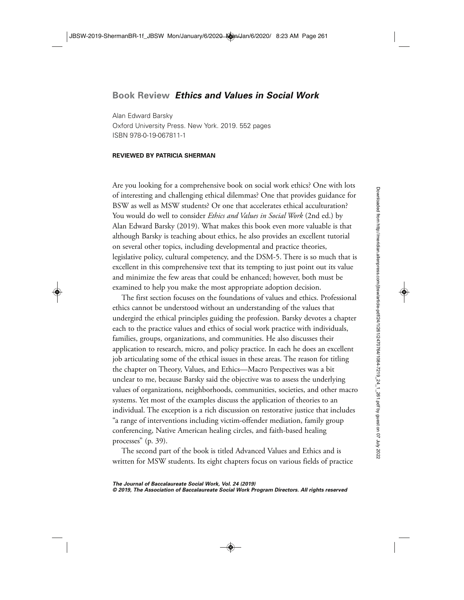## **Book Review** *Ethics and Values in Social Work*

Alan Edward Barsky Oxford University Press. New York. 2019. 552 pages ISBN 978-0-19-067811-1

## **REVIEWED BY PATRICIA SHERMAN**

Are you looking for a comprehensive book on social work ethics? One with lots of interesting and challenging ethical dilemmas? One that provides guidance for BSW as well as MSW students? Or one that accelerates ethical acculturation? You would do well to consider *Ethics and Values in Social Work* (2nd ed.) by Alan Edward Barsky (2019). What makes this book even more valuable is that although Barsky is teaching about ethics, he also provides an excellent tutorial on several other topics, including developmental and practice theories, legislative policy, cultural competency, and the DSM-5. There is so much that is excellent in this comprehensive text that its tempting to just point out its value and minimize the few areas that could be enhanced; however, both must be examined to help you make the most appropriate adoption decision.

The first section focuses on the foundations of values and ethics. Professional ethics cannot be understood without an understanding of the values that undergird the ethical principles guiding the profession. Barsky devotes a chapter each to the practice values and ethics of social work practice with individuals, families, groups, organizations, and communities. He also discusses their application to research, micro, and policy practice. In each he does an excellent job articulating some of the ethical issues in these areas. The reason for titling the chapter on Theory, Values, and Ethics— Macro Perspectives was a bit unclear to me, because Barsky said the objective was to assess the underlying values of organizations, neighborhoods, communities, societies, and other macro systems. Yet most of the examples discuss the application of theories to an individual. The exception is a rich discussion on restorative justice that includes "a range of interventions including victim- offender mediation, family group conferencing, Native American healing circles, and faith- based healing processes" (p. 39).

The second part of the book is titled Advanced Values and Ethics and is written for MSW students. Its eight chapters focus on various fields of practice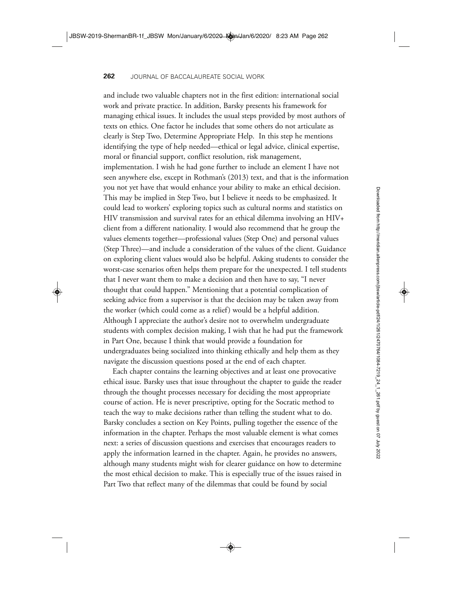and include two valuable chapters not in the first edition: international social work and private practice. In addition, Barsky presents his framework for managing ethical issues. It includes the usual steps provided by most authors of texts on ethics. One factor he includes that some others do not articulate as clearly is Step Two, Determine Appropriate Help. In this step he mentions identifying the type of help needed— ethical or legal advice, clinical expertise, moral or financial support, conflict resolution, risk management, implementation. I wish he had gone further to include an element I have not seen anywhere else, except in Rothman's (2013) text, and that is the information you not yet have that would enhance your ability to make an ethical decision. This may be implied in Step Two, but I believe it needs to be emphasized. It could lead to workers' exploring topics such as cultural norms and statistics on HIV transmission and survival rates for an ethical dilemma involving an HIV+ client from a different nationality. I would also recommend that he group the values elements together— professional values (Step One) and personal values (Step Three)—and include a consideration of the values of the client. Guidance on exploring client values would also be helpful. Asking students to consider the worst-case scenarios often helps them prepare for the unexpected. I tell students that I never want them to make a decision and then have to say, "I never thought that could happen." Mentioning that a potential complication of seeking advice from a supervisor is that the decision may be taken away from the worker (which could come as a relief) would be a helpful addition. Although I appreciate the author's desire not to overwhelm undergraduate students with complex decision making, I wish that he had put the framework in Part One, because I think that would provide a foundation for undergraduates being socialized into thinking ethically and help them as they navigate the discussion questions posed at the end of each chapter.

Each chapter contains the learning objectives and at least one provocative ethical issue. Barsky uses that issue throughout the chapter to guide the reader through the thought processes necessary for deciding the most appropriate course of action. He is never prescriptive, opting for the Socratic method to teach the way to make decisions rather than telling the student what to do. Barsky concludes a section on Key Points, pulling together the essence of the information in the chapter. Perhaps the most valuable element is what comes next: a series of discussion questions and exercises that encourages readers to apply the information learned in the chapter. Again, he provides no answers, although many students might wish for clearer guidance on how to determine the most ethical decision to make. This is especially true of the issues raised in Part Two that reflect many of the dilemmas that could be found by social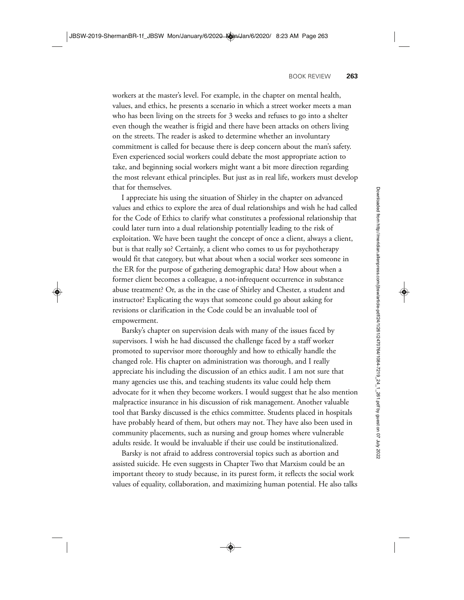workers at the master's level. For example, in the chapter on mental health, values, and ethics, he presents a scenario in which a street worker meets a man who has been living on the streets for 3 weeks and refuses to go into a shelter even though the weather is frigid and there have been attacks on others living on the streets. The reader is asked to determine whether an involuntary commitment is called for because there is deep concern about the man's safety. Even experienced social workers could debate the most appropriate action to take, and beginning social workers might want a bit more direction regarding the most relevant ethical principles. But just as in real life, workers must develop that for themselves.

I appreciate his using the situation of Shirley in the chapter on advanced values and ethics to explore the area of dual relationships and wish he had called for the Code of Ethics to clarify what constitutes a professional relationship that could later turn into a dual relationship potentially leading to the risk of exploitation. We have been taught the concept of once a client, always a client, but is that really so? Certainly, a client who comes to us for psychotherapy would fit that category, but what about when a social worker sees someone in the ER for the purpose of gathering demographic data? How about when a former client becomes a colleague, a not-infrequent occurrence in substance abuse treatment? Or, as the in the case of Shirley and Chester, a student and instructor? Explicating the ways that someone could go about asking for revisions or clarification in the Code could be an invaluable tool of empowerment.

Barsky's chapter on supervision deals with many of the issues faced by supervisors. I wish he had discussed the challenge faced by a staff worker promoted to supervisor more thoroughly and how to ethically handle the changed role. His chapter on administration was thorough, and I really appreciate his including the discussion of an ethics audit. I am not sure that many agencies use this, and teaching students its value could help them advocate for it when they become workers. I would suggest that he also mention malpractice insurance in his discussion of risk management. Another valuable tool that Barsky discussed is the ethics committee. Students placed in hospitals have probably heard of them, but others may not. They have also been used in community placements, such as nursing and group homes where vulnerable adults reside. It would be invaluable if their use could be institutionalized.

Barsky is not afraid to address controversial topics such as abortion and assisted suicide. He even suggests in Chapter Two that Marxism could be an important theory to study because, in its purest form, it reflects the social work values of equality, collaboration, and maximizing human potential. He also talks